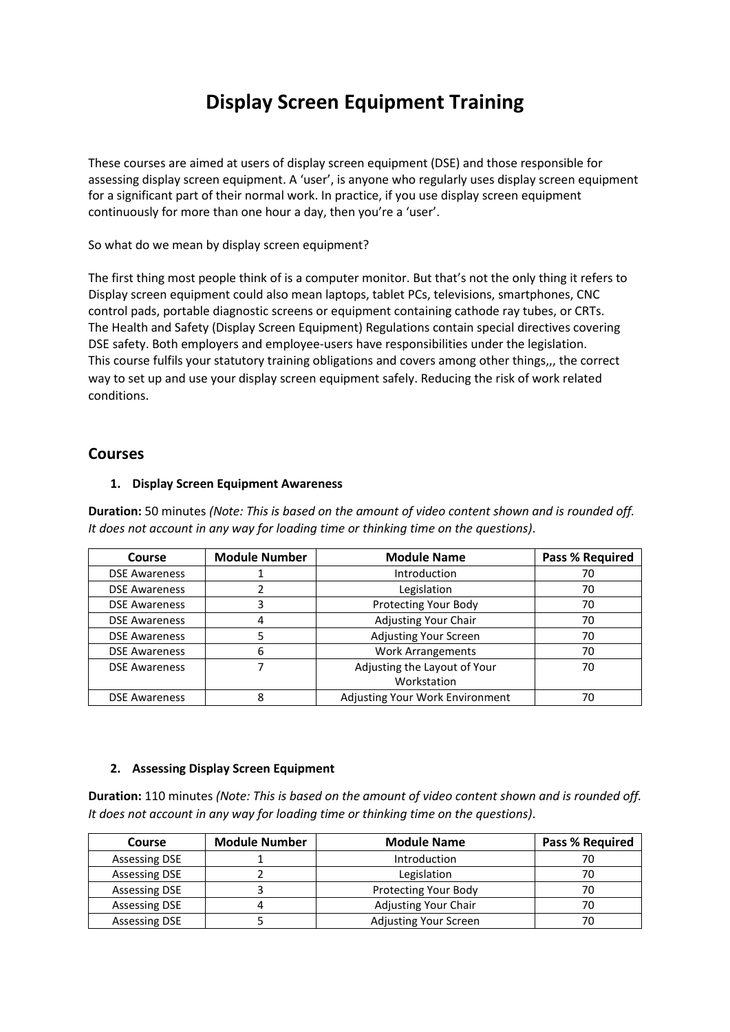# **Display Screen Equipment Training**

These courses are aimed at users of display screen equipment (DSE) and those responsible for assessing display screen equipment. A 'user', is anyone who regularly uses display screen equipment for a significant part of their normal work. In practice, if you use display screen equipment continuously for more than one hour a day, then you're a 'user'.

So what do we mean by display screen equipment?

The first thing most people think of is a computer monitor. But that's not the only thing it refers to Display screen equipment could also mean laptops, tablet PCs, televisions, smartphones, CNC control pads, portable diagnostic screens or equipment containing cathode ray tubes, or CRTs. The Health and Safety (Display Screen Equipment) Regulations contain special directives covering DSE safety. Both employers and employee‐users have responsibilities under the legislation. This course fulfils your statutory training obligations and covers among other things,,, the correct way to set up and use your display screen equipment safely. Reducing the risk of work related conditions.

## **Courses**

#### **1. Display Screen Equipment Awareness**

**Duration:** 50 minutes *(Note: This is based on the amount of video content shown and is rounded off. It does not account in any way for loading time or thinking time on the questions)*.

| Course               | <b>Module Number</b> | <b>Module Name</b>              | <b>Pass % Required</b> |
|----------------------|----------------------|---------------------------------|------------------------|
| <b>DSE Awareness</b> |                      | Introduction                    | 70                     |
| <b>DSE Awareness</b> |                      | Legislation                     | 70                     |
| <b>DSE Awareness</b> |                      | Protecting Your Body            | 70                     |
| <b>DSE Awareness</b> |                      | <b>Adjusting Your Chair</b>     | 70                     |
| <b>DSE Awareness</b> |                      | <b>Adjusting Your Screen</b>    | 70                     |
| <b>DSE Awareness</b> | 6                    | <b>Work Arrangements</b>        | 70                     |
| <b>DSE Awareness</b> |                      | Adjusting the Layout of Your    | 70                     |
|                      |                      | Workstation                     |                        |
| <b>DSE Awareness</b> |                      | Adjusting Your Work Environment | 70                     |

#### **2. Assessing Display Screen Equipment**

**Duration:** 110 minutes *(Note: This is based on the amount of video content shown and is rounded off. It does not account in any way for loading time or thinking time on the questions)*.

| <b>Course</b>        | <b>Module Number</b> | <b>Module Name</b>          | <b>Pass % Required</b> |
|----------------------|----------------------|-----------------------------|------------------------|
| <b>Assessing DSE</b> |                      | <b>Introduction</b>         | 70                     |
| <b>Assessing DSE</b> |                      | Legislation                 | 70                     |
| <b>Assessing DSE</b> |                      | <b>Protecting Your Body</b> | 70                     |
| <b>Assessing DSE</b> |                      | <b>Adjusting Your Chair</b> | 70                     |
| <b>Assessing DSE</b> |                      | Adjusting Your Screen       | 70                     |